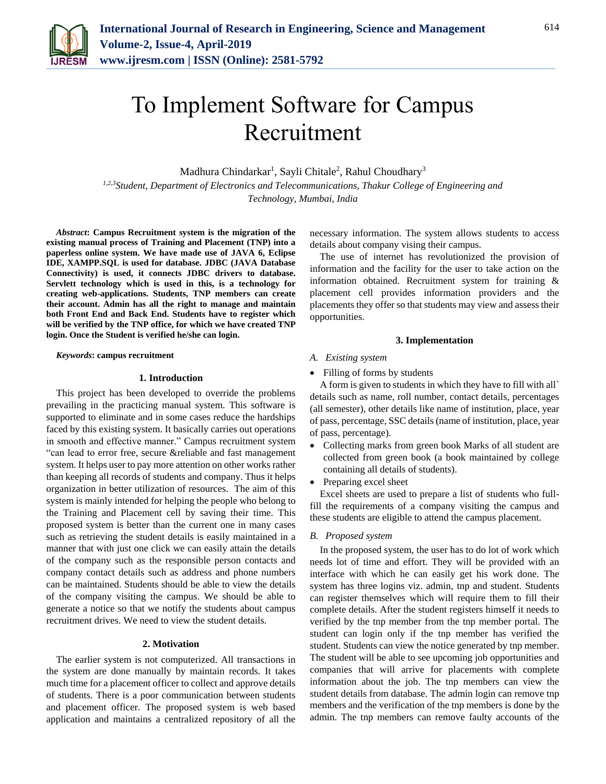

# To Implement Software for Campus Recruitment

Madhura Chindarkar<sup>1</sup>, Sayli Chitale<sup>2</sup>, Rahul Choudhary<sup>3</sup>

*1,2,3Student, Department of Electronics and Telecommunications, Thakur College of Engineering and Technology, Mumbai, India*

*Abstract***: Campus Recruitment system is the migration of the existing manual process of Training and Placement (TNP) into a paperless online system. We have made use of JAVA 6, Eclipse IDE, XAMPP.SQL is used for database. JDBC (JAVA Database Connectivity) is used, it connects JDBC drivers to database. Servlett technology which is used in this, is a technology for creating web-applications. Students, TNP members can create their account. Admin has all the right to manage and maintain both Front End and Back End. Students have to register which will be verified by the TNP office, for which we have created TNP login. Once the Student is verified he/she can login.**

#### *Keywords***: campus recruitment**

#### **1. Introduction**

This project has been developed to override the problems prevailing in the practicing manual system. This software is supported to eliminate and in some cases reduce the hardships faced by this existing system. It basically carries out operations in smooth and effective manner." Campus recruitment system "can lead to error free, secure &reliable and fast management system. It helps user to pay more attention on other works rather than keeping all records of students and company. Thus it helps organization in better utilization of resources. The aim of this system is mainly intended for helping the people who belong to the Training and Placement cell by saving their time. This proposed system is better than the current one in many cases such as retrieving the student details is easily maintained in a manner that with just one click we can easily attain the details of the company such as the responsible person contacts and company contact details such as address and phone numbers can be maintained. Students should be able to view the details of the company visiting the campus. We should be able to generate a notice so that we notify the students about campus recruitment drives. We need to view the student details.

#### **2. Motivation**

The earlier system is not computerized. All transactions in the system are done manually by maintain records. It takes much time for a placement officer to collect and approve details of students. There is a poor communication between students and placement officer. The proposed system is web based application and maintains a centralized repository of all the

necessary information. The system allows students to access details about company vising their campus.

The use of internet has revolutionized the provision of information and the facility for the user to take action on the information obtained. Recruitment system for training & placement cell provides information providers and the placements they offer so that students may view and assess their opportunities.

#### **3. Implementation**

## *A. Existing system*

• Filling of forms by students

A form is given to students in which they have to fill with all` details such as name, roll number, contact details, percentages (all semester), other details like name of institution, place, year of pass, percentage, SSC details (name of institution, place, year of pass, percentage).

- Collecting marks from green book Marks of all student are collected from green book (a book maintained by college containing all details of students).
- Preparing excel sheet

Excel sheets are used to prepare a list of students who fullfill the requirements of a company visiting the campus and these students are eligible to attend the campus placement.

#### *B. Proposed system*

In the proposed system, the user has to do lot of work which needs lot of time and effort. They will be provided with an interface with which he can easily get his work done. The system has three logins viz. admin, tnp and student. Students can register themselves which will require them to fill their complete details. After the student registers himself it needs to verified by the tnp member from the tnp member portal. The student can login only if the tnp member has verified the student. Students can view the notice generated by tnp member. The student will be able to see upcoming job opportunities and companies that will arrive for placements with complete information about the job. The tnp members can view the student details from database. The admin login can remove tnp members and the verification of the tnp members is done by the admin. The tnp members can remove faulty accounts of the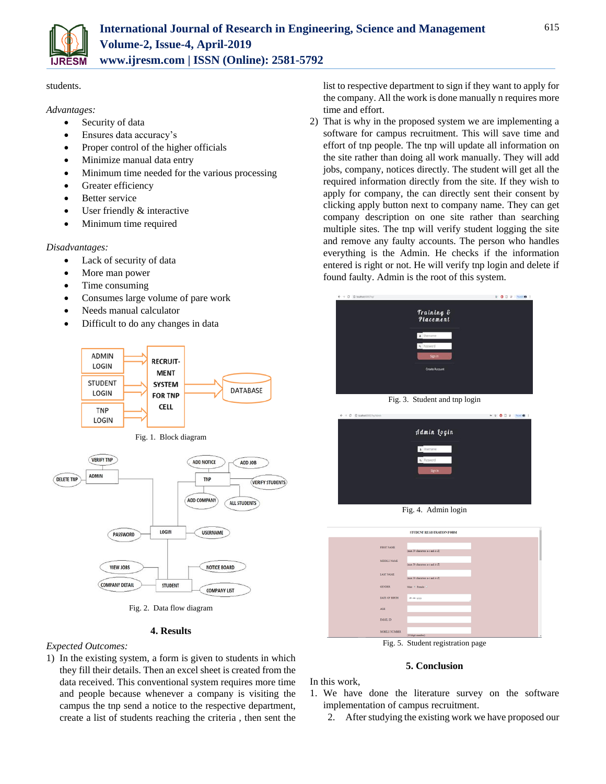

students.

### *Advantages:*

- Security of data
- Ensures data accuracy's
- Proper control of the higher officials
- Minimize manual data entry
- Minimum time needed for the various processing
- Greater efficiency
- Better service
- User friendly & interactive
- Minimum time required

## *Disadvantages:*

- Lack of security of data
- More man power
- Time consuming
- Consumes large volume of pare work
- Needs manual calculator
- Difficult to do any changes in data







Fig. 2. Data flow diagram

## **4. Results**

## *Expected Outcomes:*

1) In the existing system, a form is given to students in which they fill their details. Then an excel sheet is created from the data received. This conventional system requires more time and people because whenever a company is visiting the campus the tnp send a notice to the respective department, create a list of students reaching the criteria , then sent the list to respective department to sign if they want to apply for the company. All the work is done manually n requires more time and effort.

2) That is why in the proposed system we are implementing a software for campus recruitment. This will save time and effort of tnp people. The tnp will update all information on the site rather than doing all work manually. They will add jobs, company, notices directly. The student will get all the required information directly from the site. If they wish to apply for company, the can directly sent their consent by clicking apply button next to company name. They can get company description on one site rather than searching multiple sites. The tnp will verify student logging the site and remove any faulty accounts. The person who handles everything is the Admin. He checks if the information entered is right or not. He will verify tnp login and delete if found faulty. Admin is the root of this system.



Fig. 3. Student and tnp login

|             | 4 空<br>0 2 Pages #2 |
|-------------|---------------------|
| Admin Login |                     |
| Username    |                     |
| 4 Password  |                     |
|             |                     |
|             |                     |
|             | Sign In             |

Fig. 4. Admin login

|                   | STUDENT REGISTRATION FORM       |  |
|-------------------|---------------------------------|--|
|                   |                                 |  |
| <b>FIRST NAME</b> |                                 |  |
|                   | (max 30 characters a-z and A-Z) |  |
|                   |                                 |  |
| MIDDLE NAME       | (max 30 characters a-z and A-Z) |  |
|                   |                                 |  |
| <b>LAST NAME</b>  |                                 |  |
|                   | (max 30 characters a-z and A-Z) |  |
| <b>GENDER</b>     | Male * Female 0                 |  |
|                   |                                 |  |
| DATE OF RIRTH     | $dd - mc - yyyy$                |  |
|                   |                                 |  |
| AGE.              |                                 |  |
|                   |                                 |  |
| <b>EMAIL ID</b>   |                                 |  |
|                   |                                 |  |
| MOBILE NUMBER     |                                 |  |
|                   | (10 digit number)               |  |

Fig. 5. Student registration page

## **5. Conclusion**

In this work,

- 1. We have done the literature survey on the software implementation of campus recruitment.
	- 2. After studying the existing work we have proposed our